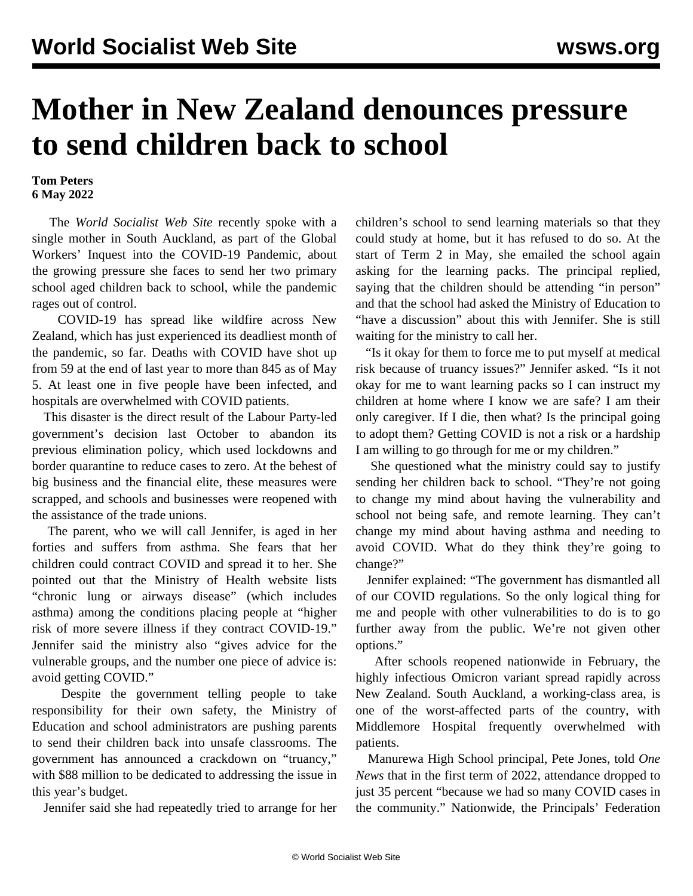## **Mother in New Zealand denounces pressure to send children back to school**

**Tom Peters 6 May 2022**

 The *World Socialist Web Site* recently spoke with a single mother in South Auckland, as part of the Global Workers' Inquest into the COVID-19 Pandemic, about the growing pressure she faces to send her two primary school aged children back to school, while the pandemic rages out of control.

 COVID-19 has spread like wildfire across New Zealand, which has just experienced its [deadliest](/en/articles/2022/05/04/etpe-m04.html) month of the pandemic, so far. Deaths with COVID have shot up from 59 at the end of last year to more than 845 as of May 5. At least one in five people have been infected, and hospitals are overwhelmed with COVID patients.

 This disaster is the direct result of the Labour Party-led government's decision last October to abandon its previous elimination policy, which used lockdowns and border quarantine to reduce cases to zero. At the behest of big business and the financial elite, these measures were scrapped, and schools and businesses were reopened with the assistance of the trade unions.

 The parent, who we will call Jennifer, is aged in her forties and suffers from asthma. She fears that her children could contract COVID and spread it to her. She pointed out that the Ministry of Health website lists "chronic lung or airways disease" (which includes asthma) among the conditions placing people at "higher risk of more severe illness if they contract COVID-19." Jennifer said the ministry also "gives advice for the vulnerable groups, and the number one piece of advice is: avoid getting COVID."

 Despite the government telling people to take responsibility for their own safety, the Ministry of Education and school administrators are pushing parents to send their children back into unsafe classrooms. The government has announced a crackdown on "truancy," with \$88 million to be dedicated to addressing the issue in this year's budget.

Jennifer said she had repeatedly tried to arrange for her

children's school to send learning materials so that they could study at home, but it has refused to do so. At the start of Term 2 in May, she emailed the school again asking for the learning packs. The principal replied, saying that the children should be attending "in person" and that the school had asked the Ministry of Education to "have a discussion" about this with Jennifer. She is still waiting for the ministry to call her.

 "Is it okay for them to force me to put myself at medical risk because of truancy issues?" Jennifer asked. "Is it not okay for me to want learning packs so I can instruct my children at home where I know we are safe? I am their only caregiver. If I die, then what? Is the principal going to adopt them? Getting COVID is not a risk or a hardship I am willing to go through for me or my children."

 She questioned what the ministry could say to justify sending her children back to school. "They're not going to change my mind about having the vulnerability and school not being safe, and remote learning. They can't change my mind about having asthma and needing to avoid COVID. What do they think they're going to change?"

 Jennifer explained: "The government has dismantled all of our COVID regulations. So the only logical thing for me and people with other vulnerabilities to do is to go further away from the public. We're not given other options."

 After schools reopened nationwide in February, the highly infectious Omicron variant spread rapidly across New Zealand. South Auckland, a working-class area, is one of the worst-affected parts of the country, with Middlemore Hospital frequently overwhelmed with patients.

 Manurewa High School principal, Pete Jones, told *One News* that in the first term of 2022, attendance dropped to just 35 percent "because we had so many COVID cases in the community." Nationwide, the Principals' Federation